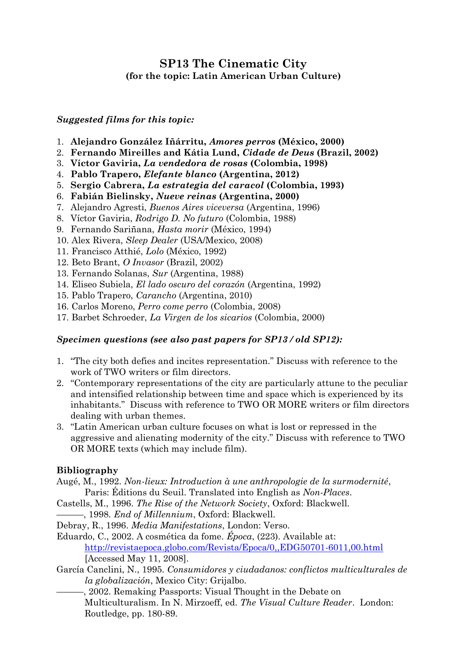## **SP13 The Cinematic City (for the topic: Latin American Urban Culture)**

## *Suggested films for this topic:*

- 1. **Alejandro González Iñárritu,** *Amores perros* **(México, 2000)**
- 2. **Fernando Mireilles and Kátia Lund,** *Cidade de Deus* **(Brazil, 2002)**
- 3. **Víctor Gaviria,** *La vendedora de rosas* **(Colombia, 1998)**
- 4. **Pablo Trapero,** *Elefante blanco* **(Argentina, 2012)**
- 5. **Sergio Cabrera,** *La estrategia del caracol* **(Colombia, 1993)**
- 6. **Fabián Bielinsky,** *Nueve reinas* **(Argentina, 2000)**
- 7. Alejandro Agresti, *Buenos Aires viceversa* (Argentina, 1996)
- 8. Víctor Gaviria, *Rodrigo D. No futuro* (Colombia, 1988)
- 9. Fernando Sariñana, *Hasta morir* (México, 1994)
- 10. Alex Rivera, *Sleep Dealer* (USA/Mexico, 2008)
- 11. Francisco Atthié, *Lolo* (México, 1992)
- 12. Beto Brant, *O Invasor* (Brazil, 2002)
- 13. Fernando Solanas, *Sur* (Argentina, 1988)
- 14. Eliseo Subiela, *El lado oscuro del corazón* (Argentina, 1992)
- 15. Pablo Trapero, *Carancho* (Argentina, 2010)
- 16. Carlos Moreno, *Perro come perro* (Colombia, 2008)
- 17. Barbet Schroeder, *La Virgen de los sicarios* (Colombia, 2000)

## *Specimen questions (see also past papers for SP13 / old SP12):*

- 1. "The city both defies and incites representation." Discuss with reference to the work of TWO writers or film directors.
- 2. "Contemporary representations of the city are particularly attune to the peculiar and intensified relationship between time and space which is experienced by its inhabitants." Discuss with reference to TWO OR MORE writers or film directors dealing with urban themes.
- 3. "Latin American urban culture focuses on what is lost or repressed in the aggressive and alienating modernity of the city." Discuss with reference to TWO OR MORE texts (which may include film).

## **Bibliography**

- Augé, M., 1992. *Non-lieux: Introduction à une anthropologie de la surmodernité*, Paris: Éditions du Seuil. Translated into English as *Non-Places*.
- Castells, M., 1996. *The Rise of the Network Society*, Oxford: Blackwell.
- ———, 1998. *End of Millennium*, Oxford: Blackwell.
- Debray, R., 1996. *Media Manifestations*, London: Verso.
- Eduardo, C., 2002. A cosmética da fome. *Época*, (223). Available at: <http://revistaepoca.globo.com/Revista/Epoca/0,,EDG50701-6011,00.html> [Accessed May 11, 2008].
- García Canclini, N., 1995. *Consumidores y ciudadanos: conflictos multiculturales de la globalización*, Mexico City: Grijalbo.
	- ———, 2002. Remaking Passports: Visual Thought in the Debate on Multiculturalism. In N. Mirzoeff, ed. *The Visual Culture Reader*. London: Routledge, pp. 180-89.